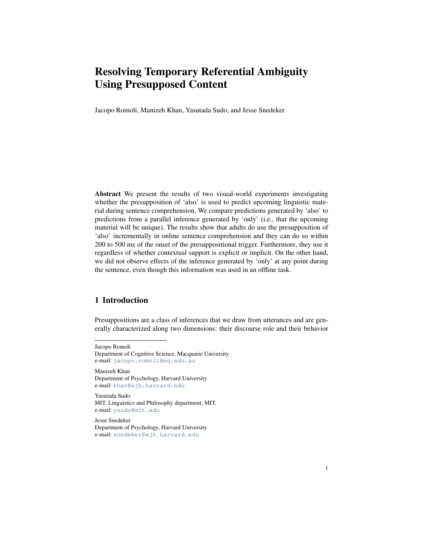# <span id="page-0-0"></span>Resolving Temporary Referential Ambiguity Using Presupposed Content

Jacopo Romoli, Manizeh Khan, Yasutada Sudo, and Jesse Snedeker

Abstract We present the results of two visual-world experiments investigating whether the presupposition of 'also' is used to predict upcoming linguistic material during sentence comprehension. We compare predictions generated by 'also' to predictions from a parallel inference generated by 'only' (i.e., that the upcoming material will be unique). The results show that adults do use the presupposition of 'also' incrementally in online sentence comprehension and they can do so within 200 to 500 ms of the onset of the presuppositional trigger. Furthermore, they use it regardless of whether contextual support is explicit or implicit. On the other hand, we did not observe effects of the inference generated by 'only' at any point during the sentence, even though this information was used in an offline task.

# 1 Introduction

Presuppositions are a class of inferences that we draw from utterances and are generally characterized along two dimensions: their discourse role and their behavior

|  | Jacopo Romoli |  |
|--|---------------|--|
|--|---------------|--|

Manizeh Khan Department of Psychology, Harvard University e-mail: <khan@wjh.harvard.edu>

Yasutada Sudo MIT, Linguistics and Philosophy department, MIT, e-mail: <ysudo@mit.edu>

Jesse Snedeker Department of Psychology, Harvard University e-mail: <snedeker@wjh.harvard.edu>

Department of Cognitive Science, Macquarie University e-mail: <jacopo.romoli@mq.edu.au>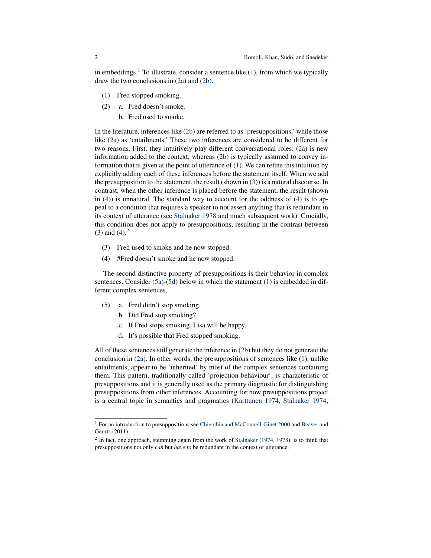in embeddings.<sup>[1](#page-0-0)</sup> To illustrate, consider a sentence like  $(1)$ , from which we typically draw the two conclusions in [\(2a\)](#page-1-1) and [\(2b\)](#page-1-2).

- <span id="page-1-0"></span>(1) Fred stopped smoking.
- <span id="page-1-2"></span><span id="page-1-1"></span>(2) a. Fred doesn't smoke.
	- b. Fred used to smoke.

In the literature, inferences like [\(2b\)](#page-1-2) are referred to as 'presuppositions,' while those like [\(2a\)](#page-1-1) as 'entailments.' These two inferences are considered to be different for two reasons. First, they intuitively play different conversational roles: [\(2a\)](#page-1-1) is new information added to the context, whereas [\(2b\)](#page-1-2) is typically assumed to convey information that is given at the point of utterance of  $(1)$ . We can refine this intuition by explicitly adding each of these inferences before the statement itself. When we add the presupposition to the statement, the result (shown in [\(3\)](#page-1-3)) is a natural discourse. In contrast, when the other inference is placed before the statement, the result (shown in  $(4)$ ) is unnatural. The standard way to account for the oddness of  $(4)$  is to appeal to a condition that requires a speaker to not assert anything that is redundant in its context of utterance (see [Stalnaker](#page-21-0) [1978](#page-21-0) and much subsequent work). Crucially, this condition does not apply to presuppositions, resulting in the contrast between  $(3)$  and  $(4).<sup>2</sup>$  $(4).<sup>2</sup>$  $(4).<sup>2</sup>$  $(4).<sup>2</sup>$ 

- <span id="page-1-3"></span>(3) Fred used to smoke and he now stopped.
- <span id="page-1-4"></span>(4) #Fred doesn't smoke and he now stopped.

The second distinctive property of presuppositions is their behavior in complex sentences. Consider [\(5a\)](#page-1-5)-[\(5d\)](#page-1-6) below in which the statement [\(1\)](#page-1-0) is embedded in different complex sentences.

- <span id="page-1-5"></span>(5) a. Fred didn't stop smoking.
	- b. Did Fred stop smoking?
	- c. If Fred stops smoking, Lisa will be happy.
	- d. It's possible that Fred stopped smoking.

<span id="page-1-6"></span>All of these sentences still generate the inference in [\(2b\)](#page-1-2) but they do not generate the conclusion in  $(2a)$ . In other words, the presuppositions of sentences like  $(1)$ , unlike entailments, appear to be 'inherited' by most of the complex sentences containing them. This pattern, traditionally called 'projection behaviour', is characteristic of presuppositions and it is generally used as the primary diagnostic for distinguishing presuppositions from other inferences. Accounting for how presuppositions project is a central topic in semantics and pragmatics [\(Karttunen](#page-21-1) [1974,](#page-21-1) [Stalnaker](#page-21-2) [1974,](#page-21-2)

<sup>&</sup>lt;sup>1</sup> For an introduction to presuppositions see [Chierchia and McConnell-Ginet](#page-20-0) [2000](#page-20-0) and [Beaver and](#page-20-1) [Geurts](#page-20-1) (2011).

 $2$  In fact, one approach, stemming again from the work of [Stalnaker](#page-21-2) [\(1974,](#page-21-2) [1978\)](#page-21-0), is to think that presuppositions not only *can* but *have to* be redundant in the context of utterance.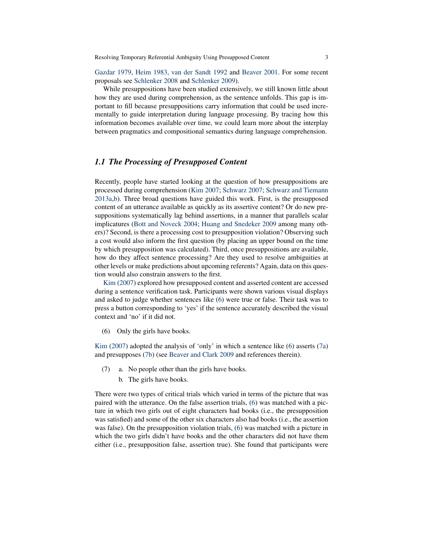[Gazdar](#page-20-2) [1979,](#page-20-2) [Heim](#page-20-3) [1983,](#page-20-3) [van der Sandt](#page-21-3) [1992](#page-21-3) and [Beaver](#page-20-4) [2001.](#page-20-4) For some recent proposals see [Schlenker](#page-21-4) [2008](#page-21-4) and [Schlenker](#page-21-5) [2009\)](#page-21-5).

While presuppositions have been studied extensively, we still known little about how they are used during comprehension, as the sentence unfolds. This gap is important to fill because presuppositions carry information that could be used incrementally to guide interpretation during language processing. By tracing how this information becomes available over time, we could learn more about the interplay between pragmatics and compositional semantics during language comprehension.

# *1.1 The Processing of Presupposed Content*

Recently, people have started looking at the question of how presuppositions are processed during comprehension [\(Kim](#page-21-6) [2007;](#page-21-6) [Schwarz](#page-21-7) [2007;](#page-21-7) [Schwarz and Tiemann](#page-21-8) [2013a,](#page-21-8)[b\)](#page-21-9). Three broad questions have guided this work. First, is the presupposed content of an utterance available as quickly as its assertive content? Or do new presuppositions systematically lag behind assertions, in a manner that parallels scalar implicatures [\(Bott and Noveck](#page-20-5) [2004;](#page-20-5) [Huang and Snedeker](#page-20-6) [2009](#page-20-6) among many others)? Second, is there a processing cost to presupposition violation? Observing such a cost would also inform the first question (by placing an upper bound on the time by which presupposition was calculated). Third, once presuppositions are available, how do they affect sentence processing? Are they used to resolve ambiguities at other levels or make predictions about upcoming referents? Again, data on this question would also constrain answers to the first.

[Kim](#page-21-6) [\(2007\)](#page-21-6) explored how presupposed content and asserted content are accessed during a sentence verification task. Participants were shown various visual displays and asked to judge whether sentences like [\(6\)](#page-2-0) were true or false. Their task was to press a button corresponding to 'yes' if the sentence accurately described the visual context and 'no' if it did not.

<span id="page-2-0"></span>(6) Only the girls have books.

[Kim](#page-21-6) [\(2007\)](#page-21-6) adopted the analysis of 'only' in which a sentence like  $(6)$  asserts [\(7a\)](#page-2-1) and presupposes [\(7b\)](#page-2-2) (see [Beaver and Clark](#page-20-7) [2009](#page-20-7) and references therein).

- <span id="page-2-2"></span><span id="page-2-1"></span>(7) a. No people other than the girls have books.
	- b. The girls have books.

There were two types of critical trials which varied in terms of the picture that was paired with the utterance. On the false assertion trials, [\(6\)](#page-2-0) was matched with a picture in which two girls out of eight characters had books (i.e., the presupposition was satisfied) and some of the other six characters also had books (i.e., the assertion was false). On the presupposition violation trials, [\(6\)](#page-2-0) was matched with a picture in which the two girls didn't have books and the other characters did not have them either (i.e., presupposition false, assertion true). She found that participants were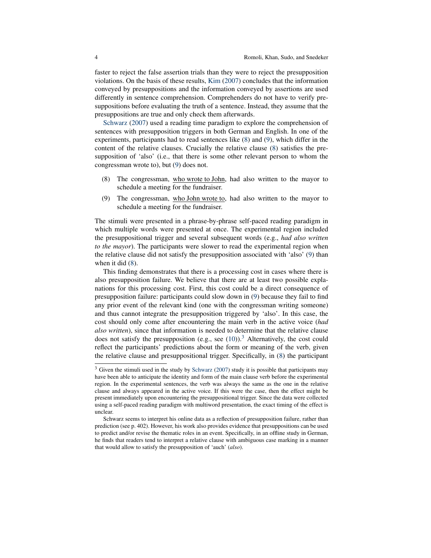faster to reject the false assertion trials than they were to reject the presupposition violations. On the basis of these results, [Kim](#page-21-6) [\(2007\)](#page-21-6) concludes that the information conveyed by presuppositions and the information conveyed by assertions are used differently in sentence comprehension. Comprehenders do not have to verify presuppositions before evaluating the truth of a sentence. Instead, they assume that the presuppositions are true and only check them afterwards.

[Schwarz](#page-21-7) [\(2007\)](#page-21-7) used a reading time paradigm to explore the comprehension of sentences with presupposition triggers in both German and English. In one of the experiments, participants had to read sentences like [\(8\)](#page-3-0) and [\(9\)](#page-3-1), which differ in the content of the relative clauses. Crucially the relative clause [\(8\)](#page-3-0) satisfies the presupposition of 'also' (i.e., that there is some other relevant person to whom the congressman wrote to), but [\(9\)](#page-3-1) does not.

- <span id="page-3-0"></span>(8) The congressman, who wrote to John, had also written to the mayor to schedule a meeting for the fundraiser.
- <span id="page-3-1"></span>(9) The congressman, who John wrote to, had also written to the mayor to schedule a meeting for the fundraiser.

The stimuli were presented in a phrase-by-phrase self-paced reading paradigm in which multiple words were presented at once. The experimental region included the presuppositional trigger and several subsequent words (e.g., *had also written to the mayor*). The participants were slower to read the experimental region when the relative clause did not satisfy the presupposition associated with 'also' [\(9\)](#page-3-1) than when it did [\(8\)](#page-3-0).

This finding demonstrates that there is a processing cost in cases where there is also presupposition failure. We believe that there are at least two possible explanations for this processing cost. First, this cost could be a direct consequence of presupposition failure: participants could slow down in [\(9\)](#page-3-1) because they fail to find any prior event of the relevant kind (one with the congressman writing someone) and thus cannot integrate the presupposition triggered by 'also'. In this case, the cost should only come after encountering the main verb in the active voice (*had also written*), since that information is needed to determine that the relative clause does not satisfy the presupposition (e.g., see  $(10)$ ).<sup>[3](#page-0-0)</sup> Alternatively, the cost could reflect the participants' predictions about the form or meaning of the verb, given the relative clause and presuppositional trigger. Specifically, in [\(8\)](#page-3-0) the participant

<sup>&</sup>lt;sup>3</sup> Given the stimuli used in the study by [Schwarz](#page-21-7) [\(2007\)](#page-21-7) study it is possible that participants may have been able to anticipate the identity and form of the main clause verb before the experimental region. In the experimental sentences, the verb was always the same as the one in the relative clause and always appeared in the active voice. If this were the case, then the effect might be present immediately upon encountering the presuppositional trigger. Since the data were collected using a self-paced reading paradigm with multiword presentation, the exact timing of the effect is unclear.

Schwarz seems to interpret his online data as a reflection of presupposition failure, rather than prediction (see p. 402). However, his work also provides evidence that presuppositions can be used to predict and/or revise the thematic roles in an event. Specifically, in an offline study in German, he finds that readers tend to interpret a relative clause with ambiguous case marking in a manner that would allow to satisfy the presupposition of 'auch' (*also*).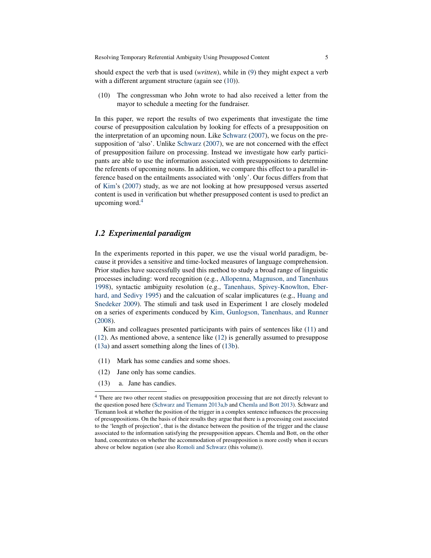should expect the verb that is used (*written*), while in [\(9\)](#page-3-1) they might expect a verb with a different argument structure (again see [\(10\)](#page-4-0)).

<span id="page-4-0"></span>(10) The congressman who John wrote to had also received a letter from the mayor to schedule a meeting for the fundraiser.

In this paper, we report the results of two experiments that investigate the time course of presupposition calculation by looking for effects of a presupposition on the interpretation of an upcoming noun. Like [Schwarz](#page-21-7) [\(2007\)](#page-21-7), we focus on the presupposition of 'also'. Unlike [Schwarz](#page-21-7) [\(2007\)](#page-21-7), we are not concerned with the effect of presupposition failure on processing. Instead we investigate how early participants are able to use the information associated with presuppositions to determine the referents of upcoming nouns. In addition, we compare this effect to a parallel inference based on the entailments associated with 'only'. Our focus differs from that of [Kim'](#page-21-6)s [\(2007\)](#page-21-6) study, as we are not looking at how presupposed versus asserted content is used in verification but whether presupposed content is used to predict an upcoming word. $4$ 

# *1.2 Experimental paradigm*

In the experiments reported in this paper, we use the visual world paradigm, because it provides a sensitive and time-locked measures of language comprehension. Prior studies have successfully used this method to study a broad range of linguistic processes including: word recognition (e.g., [Allopenna, Magnuson, and Tanenhaus](#page-20-8) [1998\)](#page-20-8), syntactic ambiguity resolution (e.g., [Tanenhaus, Spivey-Knowlton, Eber](#page-21-10)[hard, and Sedivy](#page-21-10) [1995\)](#page-21-10) and the calcuation of scalar implicatures (e.g., [Huang and](#page-20-6) [Snedeker](#page-20-6) [2009\)](#page-20-6). The stimuli and task used in Experiment 1 are closely modeled on a series of experiments conduced by [Kim, Gunlogson, Tanenhaus, and Runner](#page-21-11) [\(2008\)](#page-21-11).

Kim and colleagues presented participants with pairs of sentences like [\(11\)](#page-4-1) and [\(12\)](#page-4-2). As mentioned above, a sentence like [\(12\)](#page-4-2) is generally assumed to presuppose [\(13a\)](#page-4-3) and assert something along the lines of [\(13b\)](#page-5-0).

- <span id="page-4-1"></span>(11) Mark has some candies and some shoes.
- <span id="page-4-2"></span>(12) Jane only has some candies.
- <span id="page-4-3"></span>(13) a. Jane has candies.

<sup>&</sup>lt;sup>4</sup> There are two other recent studies on presupposition processing that are not directly relevant to the question posed here [\(Schwarz and Tiemann](#page-21-8) [2013a](#page-21-8)[,b](#page-21-9) and [Chemla and Bott](#page-20-9) [2013\)](#page-20-9). Schwarz and Tiemann look at whether the position of the trigger in a complex sentence influences the processing of presuppositions. On the basis of their results they argue that there is a processing cost associated to the 'length of projection', that is the distance between the position of the trigger and the clause associated to the information satisfying the presupposition appears. Chemla and Bott, on the other hand, concentrates on whether the accommodation of presupposition is more costly when it occurs above or below negation (see also [Romoli and Schwarz](#page-21-12) (this volume)).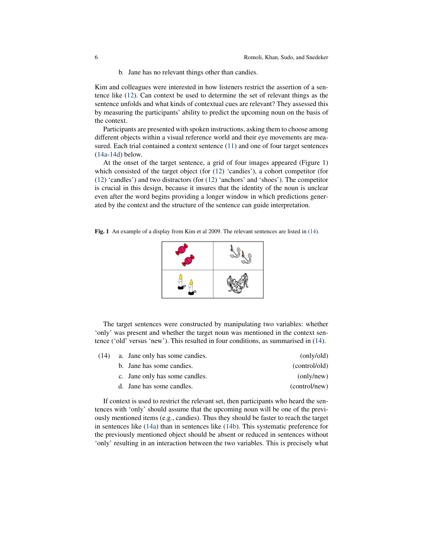b. Jane has no relevant things other than candies.

<span id="page-5-0"></span>Kim and colleagues were interested in how listeners restrict the assertion of a sentence like [\(12\)](#page-4-2). Can context be used to determine the set of relevant things as the sentence unfolds and what kinds of contextual cues are relevant? They assessed this by measuring the participants' ability to predict the upcoming noun on the basis of the context.

Participants are presented with spoken instructions, asking them to choose among different objects within a visual reference world and their eye movements are measured. Each trial contained a context sentence [\(11\)](#page-4-1) and one of four target sentences [\(14a](#page-5-1)[-14d\)](#page-5-2) below.

At the onset of the target sentence, a grid of four images appeared (Figure 1) which consisted of the target object (for [\(12\)](#page-4-2) 'candies'), a cohort competitor (for [\(12\)](#page-4-2) 'candles') and two distractors (for [\(12\)](#page-4-2) 'anchors' and 'shoes'). The competitor is crucial in this design, because it insures that the identity of the noun is unclear even after the word begins providing a longer window in which predictions generated by the context and the structure of the sentence can guide interpretation.

Fig. 1 An example of a display from Kim et al 2009. The relevant sentences are listed in [\(14\)](#page-5-1).

The target sentences were constructed by manipulating two variables: whether 'only' was present and whether the target noun was mentioned in the context sentence ('old' versus 'new'). This resulted in four conditions, as summarised in [\(14\)](#page-5-1).

<span id="page-5-3"></span><span id="page-5-1"></span>

| (14) | a. Jane only has some candies. | (only/old)          |
|------|--------------------------------|---------------------|
|      | b. Jane has some candies.      | (control/old)       |
|      | c. Jane only has some candles. | $\text{(only/new)}$ |
|      | d. Jane has some candles.      | (control/new)       |

<span id="page-5-2"></span>If context is used to restrict the relevant set, then participants who heard the sentences with 'only' should assume that the upcoming noun will be one of the previously mentioned items (e.g., candies). Thus they should be faster to reach the target in sentences like [\(14a\)](#page-5-1) than in sentences like [\(14b\)](#page-5-3). This systematic preference for the previously mentioned object should be absent or reduced in sentences without 'only' resulting in an interaction between the two variables. This is precisely what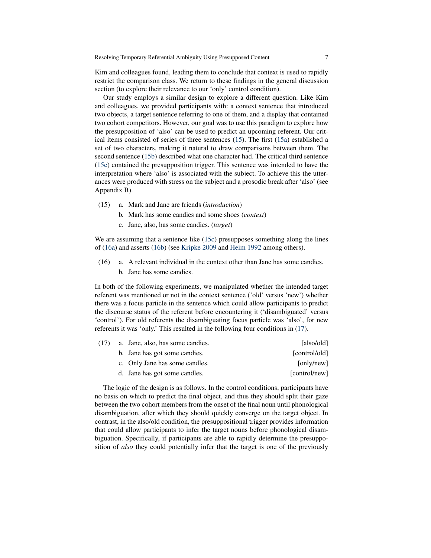Kim and colleagues found, leading them to conclude that context is used to rapidly restrict the comparison class. We return to these findings in the general discussion section (to explore their relevance to our 'only' control condition).

Our study employs a similar design to explore a different question. Like Kim and colleagues, we provided participants with: a context sentence that introduced two objects, a target sentence referring to one of them, and a display that contained two cohort competitors. However, our goal was to use this paradigm to explore how the presupposition of 'also' can be used to predict an upcoming referent. Our critical items consisted of series of three sentences [\(15\)](#page-6-0). The first [\(15a\)](#page-6-0) established a set of two characters, making it natural to draw comparisons between them. The second sentence [\(15b\)](#page-6-1) described what one character had. The critical third sentence [\(15c\)](#page-6-2) contained the presupposition trigger. This sentence was intended to have the interpretation where 'also' is associated with the subject. To achieve this the utterances were produced with stress on the subject and a prosodic break after 'also' (see Appendix B).

- <span id="page-6-2"></span><span id="page-6-1"></span><span id="page-6-0"></span>(15) a. Mark and Jane are friends (*introduction*)
	- b. Mark has some candies and some shoes (*context*)
	- c. Jane, also, has some candies. (*target*)

We are assuming that a sentence like [\(15c\)](#page-6-2) presupposes something along the lines of [\(16a\)](#page-6-3) and asserts [\(16b\)](#page-6-4) (see [Kripke](#page-21-13) [2009](#page-21-13) and [Heim](#page-20-10) [1992](#page-20-10) among others).

- <span id="page-6-4"></span><span id="page-6-3"></span>(16) a. A relevant individual in the context other than Jane has some candies.
	- b. Jane has some candies.

In both of the following experiments, we manipulated whether the intended target referent was mentioned or not in the context sentence ('old' versus 'new') whether there was a focus particle in the sentence which could allow participants to predict the discourse status of the referent before encountering it ('disambiguated' versus 'control'). For old referents the disambiguating focus particle was 'also', for new referents it was 'only.' This resulted in the following four conditions in [\(17\)](#page-6-5).

<span id="page-6-5"></span>

|  | $(17)$ a. Jane, also, has some candies. | [also/old]    |
|--|-----------------------------------------|---------------|
|  | b. Jane has got some candies.           | [control/old] |
|  | c. Only Jane has some candles.          | [only/new]    |
|  | d. Jane has got some candles.           | [control/new] |

The logic of the design is as follows. In the control conditions, participants have no basis on which to predict the final object, and thus they should split their gaze between the two cohort members from the onset of the final noun until phonological disambiguation, after which they should quickly converge on the target object. In contrast, in the also/old condition, the presuppositional trigger provides information that could allow participants to infer the target nouns before phonological disambiguation. Specifically, if participants are able to rapidly determine the presupposition of *also* they could potentially infer that the target is one of the previously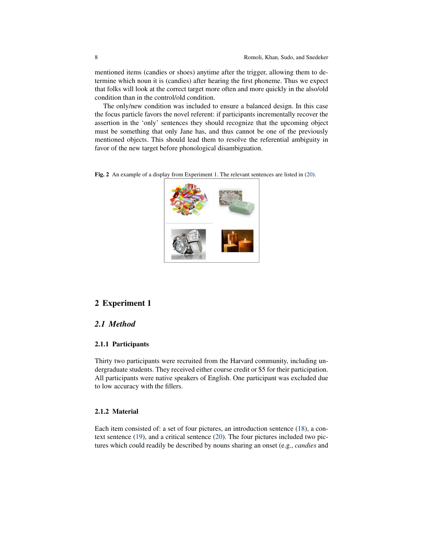mentioned items (candies or shoes) anytime after the trigger, allowing them to determine which noun it is (candies) after hearing the first phoneme. Thus we expect that folks will look at the correct target more often and more quickly in the also/old condition than in the control/old condition.

The only/new condition was included to ensure a balanced design. In this case the focus particle favors the novel referent: if participants incrementally recover the assertion in the 'only' sentences they should recognize that the upcoming object must be something that only Jane has, and thus cannot be one of the previously mentioned objects. This should lead them to resolve the referential ambiguity in favor of the new target before phonological disambiguation.

Fig. 2 An example of a display from Experiment 1. The relevant sentences are listed in [\(20\)](#page-8-0).



# 2 Experiment 1

# *2.1 Method*

#### 2.1.1 Participants

Thirty two participants were recruited from the Harvard community, including undergraduate students. They received either course credit or \$5 for their participation. All participants were native speakers of English. One participant was excluded due to low accuracy with the fillers.

#### 2.1.2 Material

Each item consisted of: a set of four pictures, an introduction sentence [\(18\)](#page-8-1), a context sentence [\(19\)](#page-8-2), and a critical sentence [\(20\)](#page-8-0). The four pictures included two pictures which could readily be described by nouns sharing an onset (e.g., *candies* and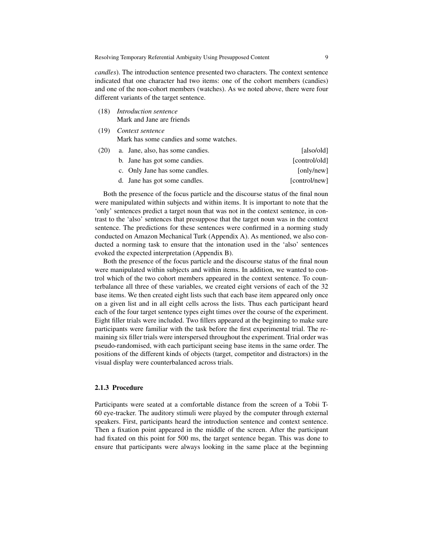*candles*). The introduction sentence presented two characters. The context sentence indicated that one character had two items: one of the cohort members (candies) and one of the non-cohort members (watches). As we noted above, there were four different variants of the target sentence.

- <span id="page-8-1"></span>(18) *Introduction sentence* Mark and Jane are friends
- <span id="page-8-2"></span>(19) *Context sentence* Mark has some candies and some watches.

<span id="page-8-0"></span>

| (20) | a. Jane, also, has some candies. | [also/old]    |
|------|----------------------------------|---------------|
|      | b. Jane has got some candies.    | [control/old] |
|      | c. Only Jane has some candles.   | [only/new]    |
|      | d. Jane has got some candles.    | [control/new] |
|      |                                  |               |

Both the presence of the focus particle and the discourse status of the final noun were manipulated within subjects and within items. It is important to note that the 'only' sentences predict a target noun that was not in the context sentence, in contrast to the 'also' sentences that presuppose that the target noun was in the context sentence. The predictions for these sentences were confirmed in a norming study conducted on Amazon Mechanical Turk (Appendix A). As mentioned, we also conducted a norming task to ensure that the intonation used in the 'also' sentences evoked the expected interpretation (Appendix B).

Both the presence of the focus particle and the discourse status of the final noun were manipulated within subjects and within items. In addition, we wanted to control which of the two cohort members appeared in the context sentence. To counterbalance all three of these variables, we created eight versions of each of the 32 base items. We then created eight lists such that each base item appeared only once on a given list and in all eight cells across the lists. Thus each participant heard each of the four target sentence types eight times over the course of the experiment. Eight filler trials were included. Two fillers appeared at the beginning to make sure participants were familiar with the task before the first experimental trial. The remaining six filler trials were interspersed throughout the experiment. Trial order was pseudo-randomised, with each participant seeing base items in the same order. The positions of the different kinds of objects (target, competitor and distractors) in the visual display were counterbalanced across trials.

# 2.1.3 Procedure

Participants were seated at a comfortable distance from the screen of a Tobii T-60 eye-tracker. The auditory stimuli were played by the computer through external speakers. First, participants heard the introduction sentence and context sentence. Then a fixation point appeared in the middle of the screen. After the participant had fixated on this point for 500 ms, the target sentence began. This was done to ensure that participants were always looking in the same place at the beginning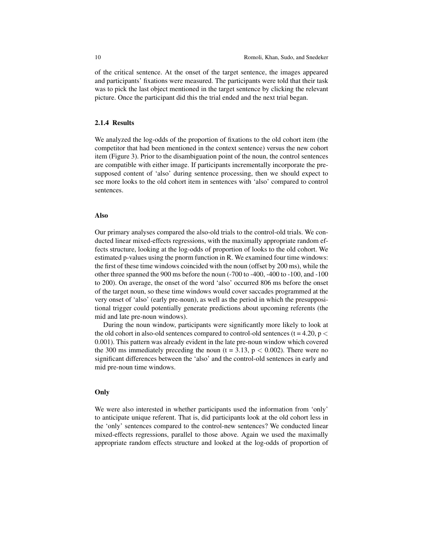of the critical sentence. At the onset of the target sentence, the images appeared and participants' fixations were measured. The participants were told that their task was to pick the last object mentioned in the target sentence by clicking the relevant picture. Once the participant did this the trial ended and the next trial began.

#### 2.1.4 Results

We analyzed the log-odds of the proportion of fixations to the old cohort item (the competitor that had been mentioned in the context sentence) versus the new cohort item (Figure 3). Prior to the disambiguation point of the noun, the control sentences are compatible with either image. If participants incrementally incorporate the presupposed content of 'also' during sentence processing, then we should expect to see more looks to the old cohort item in sentences with 'also' compared to control sentences.

#### Also

Our primary analyses compared the also-old trials to the control-old trials. We conducted linear mixed-effects regressions, with the maximally appropriate random effects structure, looking at the log-odds of proportion of looks to the old cohort. We estimated p-values using the pnorm function in R. We examined four time windows: the first of these time windows coincided with the noun (offset by 200 ms), while the other three spanned the 900 ms before the noun (-700 to -400, -400 to -100, and -100 to 200). On average, the onset of the word 'also' occurred 806 ms before the onset of the target noun, so these time windows would cover saccades programmed at the very onset of 'also' (early pre-noun), as well as the period in which the presuppositional trigger could potentially generate predictions about upcoming referents (the mid and late pre-noun windows).

During the noun window, participants were significantly more likely to look at the old cohort in also-old sentences compared to control-old sentences ( $t = 4.20$ ,  $p <$ 0.001). This pattern was already evident in the late pre-noun window which covered the 300 ms immediately preceding the noun (t = 3.13,  $p < 0.002$ ). There were no significant differences between the 'also' and the control-old sentences in early and mid pre-noun time windows.

#### **Only**

We were also interested in whether participants used the information from 'only' to anticipate unique referent. That is, did participants look at the old cohort less in the 'only' sentences compared to the control-new sentences? We conducted linear mixed-effects regressions, parallel to those above. Again we used the maximally appropriate random effects structure and looked at the log-odds of proportion of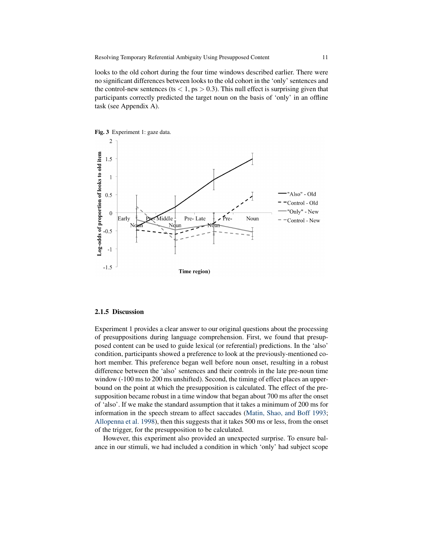looks to the old cohort during the four time windows described earlier. There were no significant differences between looks to the old cohort in the 'only' sentences and the control-new sentences (ts  $< 1$ , ps  $> 0.3$ ). This null effect is surprising given that participants correctly predicted the target noun on the basis of 'only' in an offline task (see Appendix A).



#### 2.1.5 Discussion

Experiment 1 provides a clear answer to our original questions about the processing of presuppositions during language comprehension. First, we found that presupposed content can be used to guide lexical (or referential) predictions. In the 'also' condition, participants showed a preference to look at the previously-mentioned cohort member. This preference began well before noun onset, resulting in a robust difference between the 'also' sentences and their controls in the late pre-noun time window (-100 ms to 200 ms unshifted). Second, the timing of effect places an upperbound on the point at which the presupposition is calculated. The effect of the presupposition became robust in a time window that began about 700 ms after the onset of 'also'. If we make the standard assumption that it takes a minimum of 200 ms for information in the speech stream to affect saccades [\(Matin, Shao, and Boff](#page-21-14) [1993;](#page-21-14) [Allopenna et al.](#page-20-8) [1998\)](#page-20-8), then this suggests that it takes 500 ms or less, from the onset of the trigger, for the presupposition to be calculated.

However, this experiment also provided an unexpected surprise. To ensure balance in our stimuli, we had included a condition in which 'only' had subject scope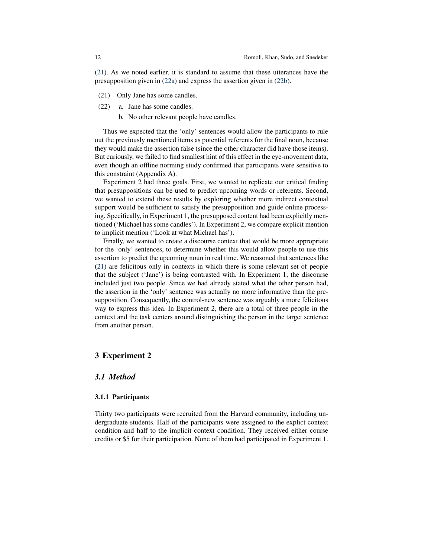[\(21\)](#page-11-0). As we noted earlier, it is standard to assume that these utterances have the presupposition given in [\(22a\)](#page-11-1) and express the assertion given in [\(22b\)](#page-11-2).

- <span id="page-11-0"></span>(21) Only Jane has some candles.
- <span id="page-11-2"></span><span id="page-11-1"></span>(22) a. Jane has some candles.
	- b. No other relevant people have candles.

Thus we expected that the 'only' sentences would allow the participants to rule out the previously mentioned items as potential referents for the final noun, because they would make the assertion false (since the other character did have those items). But curiously, we failed to find smallest hint of this effect in the eye-movement data, even though an offline norming study confirmed that participants were sensitive to this constraint (Appendix A).

Experiment 2 had three goals. First, we wanted to replicate our critical finding that presuppositions can be used to predict upcoming words or referents. Second, we wanted to extend these results by exploring whether more indirect contextual support would be sufficient to satisfy the presupposition and guide online processing. Specifically, in Experiment 1, the presupposed content had been explicitly mentioned ('Michael has some candles'). In Experiment 2, we compare explicit mention to implicit mention ('Look at what Michael has').

Finally, we wanted to create a discourse context that would be more appropriate for the 'only' sentences, to determine whether this would allow people to use this assertion to predict the upcoming noun in real time. We reasoned that sentences like [\(21\)](#page-11-0) are felicitous only in contexts in which there is some relevant set of people that the subject ('Jane') is being contrasted with. In Experiment 1, the discourse included just two people. Since we had already stated what the other person had, the assertion in the 'only' sentence was actually no more informative than the presupposition. Consequently, the control-new sentence was arguably a more felicitous way to express this idea. In Experiment 2, there are a total of three people in the context and the task centers around distinguishing the person in the target sentence from another person.

#### 3 Experiment 2

# *3.1 Method*

#### 3.1.1 Participants

Thirty two participants were recruited from the Harvard community, including undergraduate students. Half of the participants were assigned to the explict context condition and half to the implicit context condition. They received either course credits or \$5 for their participation. None of them had participated in Experiment 1.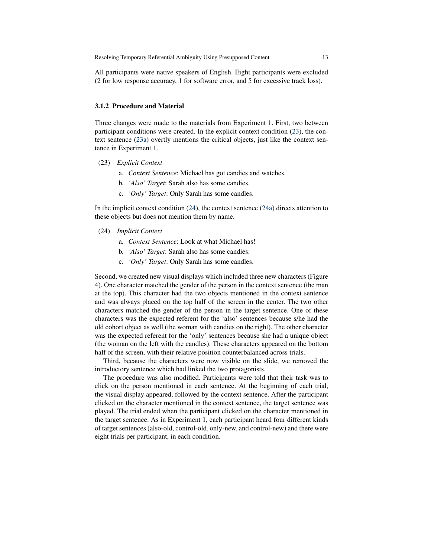All participants were native speakers of English. Eight participants were excluded (2 for low response accuracy, 1 for software error, and 5 for excessive track loss).

#### 3.1.2 Procedure and Material

Three changes were made to the materials from Experiment 1. First, two between participant conditions were created. In the explicit context condition [\(23\)](#page-12-0), the context sentence [\(23a\)](#page-12-1) overtly mentions the critical objects, just like the context sentence in Experiment 1.

- <span id="page-12-1"></span><span id="page-12-0"></span>(23) *Explicit Context*
	- a. *Context Sentence*: Michael has got candies and watches.
	- b. *'Also' Target*: Sarah also has some candies.
	- c. *'Only' Target*: Only Sarah has some candles.

In the implicit context condition [\(24\)](#page-12-2), the context sentence [\(24a\)](#page-12-3) directs attention to these objects but does not mention them by name.

- <span id="page-12-3"></span><span id="page-12-2"></span>(24) *Implicit Context*
	- a. *Context Sentence*: Look at what Michael has!
	- b. *'Also' Target*: Sarah also has some candies.
	- c. *'Only' Target*: Only Sarah has some candles.

Second, we created new visual displays which included three new characters (Figure 4). One character matched the gender of the person in the context sentence (the man at the top). This character had the two objects mentioned in the context sentence and was always placed on the top half of the screen in the center. The two other characters matched the gender of the person in the target sentence. One of these characters was the expected referent for the 'also' sentences because s/he had the old cohort object as well (the woman with candies on the right). The other character was the expected referent for the 'only' sentences because she had a unique object (the woman on the left with the candles). These characters appeared on the bottom half of the screen, with their relative position counterbalanced across trials.

Third, because the characters were now visible on the slide, we removed the introductory sentence which had linked the two protagonists.

The procedure was also modified. Participants were told that their task was to click on the person mentioned in each sentence. At the beginning of each trial, the visual display appeared, followed by the context sentence. After the participant clicked on the character mentioned in the context sentence, the target sentence was played. The trial ended when the participant clicked on the character mentioned in the target sentence. As in Experiment 1, each participant heard four different kinds of target sentences (also-old, control-old, only-new, and control-new) and there were eight trials per participant, in each condition.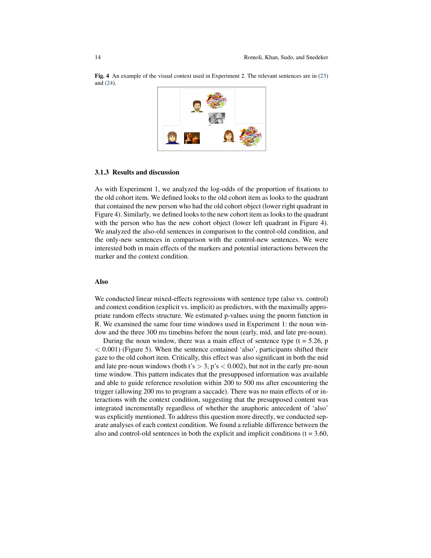

Fig. 4 An example of the visual context used in Experiment 2. The relevant sentences are in [\(23\)](#page-12-0) and [\(24\)](#page-12-2).

#### 3.1.3 Results and discussion

As with Experiment 1, we analyzed the log-odds of the proportion of fixations to the old cohort item. We defined looks to the old cohort item as looks to the quadrant that contained the new person who had the old cohort object (lower right quadrant in Figure 4). Similarly, we defined looks to the new cohort item as looks to the quadrant with the person who has the new cohort object (lower left quadrant in Figure 4). We analyzed the also-old sentences in comparison to the control-old condition, and the only-new sentences in comparison with the control-new sentences. We were interested both in main effects of the markers and potential interactions between the marker and the context condition.

#### Also

We conducted linear mixed-effects regressions with sentence type (also vs. control) and context condition (explicit vs. implicit) as predictors, with the maximally appropriate random effects structure. We estimated p-values using the pnorm function in R. We examined the same four time windows used in Experiment 1: the noun window and the three 300 ms timebins before the noun (early, mid, and late pre-noun).

During the noun window, there was a main effect of sentence type  $(t = 5.26, p)$  $< 0.001$ ) (Figure 5). When the sentence contained 'also', participants shifted their gaze to the old cohort item. Critically, this effect was also significant in both the mid and late pre-noun windows (both  $t's > 3$ ,  $p's < 0.002$ ), but not in the early pre-noun time window. This pattern indicates that the presupposed information was available and able to guide reference resolution within 200 to 500 ms after encountering the trigger (allowing 200 ms to program a saccade). There was no main effects of or interactions with the context condition, suggesting that the presupposed content was integrated incrementally regardless of whether the anaphoric antecedent of 'also' was explicitly mentioned. To address this question more directly, we conducted separate analyses of each context condition. We found a reliable difference between the also and control-old sentences in both the explicit and implicit conditions ( $t = 3.60$ ,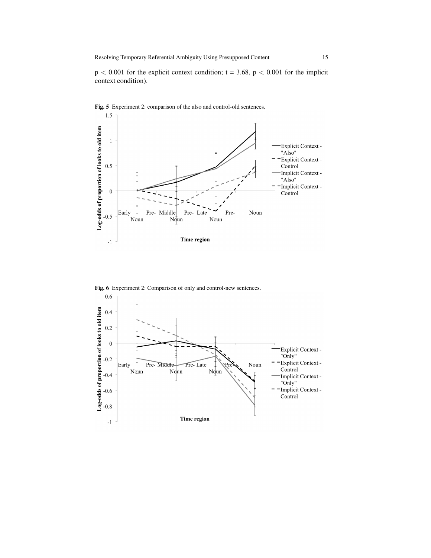$p < 0.001$  for the explicit context condition;  $t = 3.68$ ,  $p < 0.001$  for the implicit context condition).



Fig. 5 Experiment 2: comparison of the also and control-old sentences.



Fig. 6 Experiment 2: Comparison of only and control-new sentences.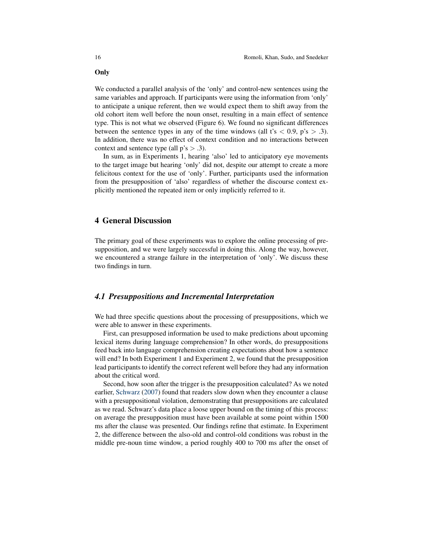We conducted a parallel analysis of the 'only' and control-new sentences using the same variables and approach. If participants were using the information from 'only' to anticipate a unique referent, then we would expect them to shift away from the old cohort item well before the noun onset, resulting in a main effect of sentence type. This is not what we observed (Figure 6). We found no significant differences between the sentence types in any of the time windows (all t's  $< 0.9$ , p's  $> .3$ ). In addition, there was no effect of context condition and no interactions between context and sentence type (all  $p's > .3$ ).

In sum, as in Experiments 1, hearing 'also' led to anticipatory eye movements to the target image but hearing 'only' did not, despite our attempt to create a more felicitous context for the use of 'only'. Further, participants used the information from the presupposition of 'also' regardless of whether the discourse context explicitly mentioned the repeated item or only implicitly referred to it.

# 4 General Discussion

The primary goal of these experiments was to explore the online processing of presupposition, and we were largely successful in doing this. Along the way, however, we encountered a strange failure in the interpretation of 'only'. We discuss these two findings in turn.

#### *4.1 Presuppositions and Incremental Interpretation*

We had three specific questions about the processing of presuppositions, which we were able to answer in these experiments.

First, can presupposed information be used to make predictions about upcoming lexical items during language comprehension? In other words, do presuppositions feed back into language comprehension creating expectations about how a sentence will end? In both Experiment 1 and Experiment 2, we found that the presupposition lead participants to identify the correct referent well before they had any information about the critical word.

Second, how soon after the trigger is the presupposition calculated? As we noted earlier, [Schwarz](#page-21-7) [\(2007\)](#page-21-7) found that readers slow down when they encounter a clause with a presuppositional violation, demonstrating that presuppositions are calculated as we read. Schwarz's data place a loose upper bound on the timing of this process: on average the presupposition must have been available at some point within 1500 ms after the clause was presented. Our findings refine that estimate. In Experiment 2, the difference between the also-old and control-old conditions was robust in the middle pre-noun time window, a period roughly 400 to 700 ms after the onset of

#### **Only**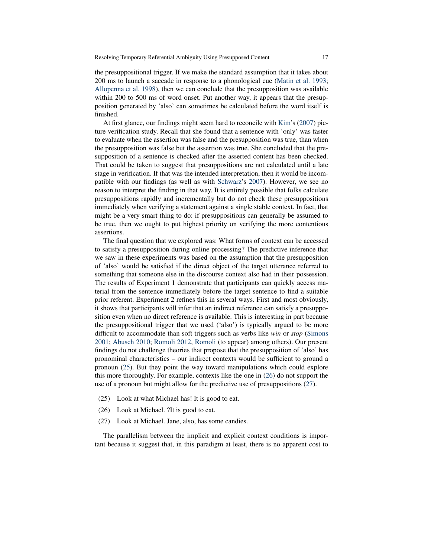the presuppositional trigger. If we make the standard assumption that it takes about 200 ms to launch a saccade in response to a phonological cue [\(Matin et al.](#page-21-14) [1993;](#page-21-14) [Allopenna et al.](#page-20-8) [1998\)](#page-20-8), then we can conclude that the presupposition was available within 200 to 500 ms of word onset. Put another way, it appears that the presupposition generated by 'also' can sometimes be calculated before the word itself is finished.

At first glance, our findings might seem hard to reconcile with [Kim'](#page-21-6)s [\(2007\)](#page-21-6) picture verification study. Recall that she found that a sentence with 'only' was faster to evaluate when the assertion was false and the presupposition was true, than when the presupposition was false but the assertion was true. She concluded that the presupposition of a sentence is checked after the asserted content has been checked. That could be taken to suggest that presuppositions are not calculated until a late stage in verification. If that was the intended interpretation, then it would be incompatible with our findings (as well as with [Schwarz'](#page-21-7)s [2007\)](#page-21-7). However, we see no reason to interpret the finding in that way. It is entirely possible that folks calculate presuppositions rapidly and incrementally but do not check these presuppositions immediately when verifying a statement against a single stable context. In fact, that might be a very smart thing to do: if presuppositions can generally be assumed to be true, then we ought to put highest priority on verifying the more contentious assertions.

The final question that we explored was: What forms of context can be accessed to satisfy a presupposition during online processing? The predictive inference that we saw in these experiments was based on the assumption that the presupposition of 'also' would be satisfied if the direct object of the target utterance referred to something that someone else in the discourse context also had in their possession. The results of Experiment 1 demonstrate that participants can quickly access material from the sentence immediately before the target sentence to find a suitable prior referent. Experiment 2 refines this in several ways. First and most obviously, it shows that participants will infer that an indirect reference can satisfy a presupposition even when no direct reference is available. This is interesting in part because the presuppositional trigger that we used ('also') is typically argued to be more difficult to accommodate than soft triggers such as verbs like *win* or *stop* [\(Simons](#page-21-15) [2001;](#page-21-15) [Abusch](#page-20-11) [2010;](#page-20-11) [Romoli](#page-21-16) [2012,](#page-21-16) [Romoli](#page-21-17) (to appear) among others). Our present findings do not challenge theories that propose that the presupposition of 'also' has pronominal characteristics – our indirect contexts would be sufficient to ground a pronoun [\(25\)](#page-16-0). But they point the way toward manipulations which could explore this more thoroughly. For example, contexts like the one in [\(26\)](#page-16-1) do not support the use of a pronoun but might allow for the predictive use of presuppositions [\(27\)](#page-16-2).

- <span id="page-16-0"></span>(25) Look at what Michael has! It is good to eat.
- <span id="page-16-1"></span>(26) Look at Michael. ?It is good to eat.
- <span id="page-16-2"></span>(27) Look at Michael. Jane, also, has some candies.

The parallelism between the implicit and explicit context conditions is important because it suggest that, in this paradigm at least, there is no apparent cost to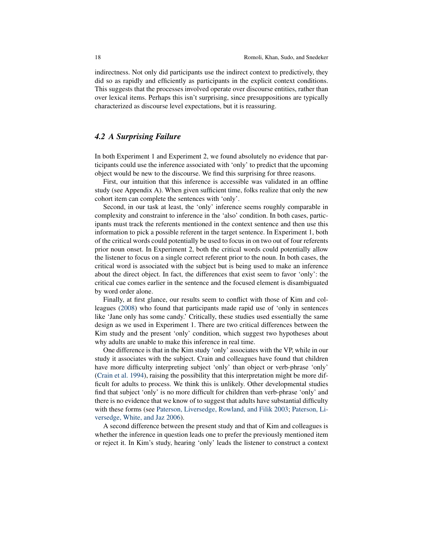indirectness. Not only did participants use the indirect context to predictively, they did so as rapidly and efficiently as participants in the explicit context conditions. This suggests that the processes involved operate over discourse entities, rather than over lexical items. Perhaps this isn't surprising, since presuppositions are typically characterized as discourse level expectations, but it is reassuring.

# *4.2 A Surprising Failure*

In both Experiment 1 and Experiment 2, we found absolutely no evidence that participants could use the inference associated with 'only' to predict that the upcoming object would be new to the discourse. We find this surprising for three reasons.

First, our intuition that this inference is accessible was validated in an offline study (see Appendix A). When given sufficient time, folks realize that only the new cohort item can complete the sentences with 'only'.

Second, in our task at least, the 'only' inference seems roughly comparable in complexity and constraint to inference in the 'also' condition. In both cases, participants must track the referents mentioned in the context sentence and then use this information to pick a possible referent in the target sentence. In Experiment 1, both of the critical words could potentially be used to focus in on two out of four referents prior noun onset. In Experiment 2, both the critical words could potentially allow the listener to focus on a single correct referent prior to the noun. In both cases, the critical word is associated with the subject but is being used to make an inference about the direct object. In fact, the differences that exist seem to favor 'only': the critical cue comes earlier in the sentence and the focused element is disambiguated by word order alone.

Finally, at first glance, our results seem to conflict with those of Kim and colleagues [\(2008\)](#page-21-11) who found that participants made rapid use of 'only in sentences like 'Jane only has some candy.' Critically, these studies used essentially the same design as we used in Experiment 1. There are two critical differences between the Kim study and the present 'only' condition, which suggest two hypotheses about why adults are unable to make this inference in real time.

One difference is that in the Kim study 'only' associates with the VP, while in our study it associates with the subject. Crain and colleagues have found that children have more difficulty interpreting subject 'only' than object or verb-phrase 'only' [\(Crain et al.](#page-20-12) [1994\)](#page-20-12), raising the possibility that this interpretation might be more difficult for adults to process. We think this is unlikely. Other developmental studies find that subject 'only' is no more difficult for children than verb-phrase 'only' and there is no evidence that we know of to suggest that adults have substantial difficulty with these forms (see [Paterson, Liversedge, Rowland, and Filik](#page-21-18) [2003;](#page-21-18) [Paterson, Li](#page-21-19)[versedge, White, and Jaz](#page-21-19) [2006\)](#page-21-19).

A second difference between the present study and that of Kim and colleagues is whether the inference in question leads one to prefer the previously mentioned item or reject it. In Kim's study, hearing 'only' leads the listener to construct a context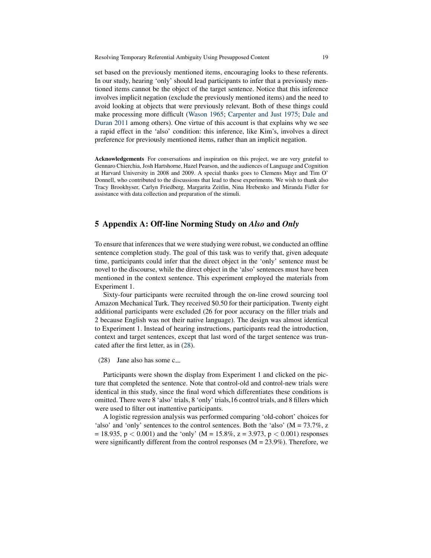set based on the previously mentioned items, encouraging looks to these referents. In our study, hearing 'only' should lead participants to infer that a previously mentioned items cannot be the object of the target sentence. Notice that this inference involves implicit negation (exclude the previously mentioned items) and the need to avoid looking at objects that were previously relevant. Both of these things could make processing more difficult [\(Wason](#page-21-20) [1965;](#page-21-20) [Carpenter and Just](#page-20-13) [1975;](#page-20-13) [Dale and](#page-20-14) [Duran](#page-20-14) [2011](#page-20-14) among others). One virtue of this account is that explains why we see a rapid effect in the 'also' condition: this inference, like Kim's, involves a direct preference for previously mentioned items, rather than an implicit negation.

Acknowledgements For conversations and inspiration on this project, we are very grateful to Gennaro Chierchia, Josh Hartshorne, Hazel Pearson, and the audiences of Language and Cognition at Harvard University in 2008 and 2009. A special thanks goes to Clemens Mayr and Tim O' Donnell, who contributed to the discussions that lead to these experiments. We wish to thank also Tracy Brookhyser, Carlyn Friedberg, Margarita Zeitlin, Nina Hrebenko and Miranda Fidler for assistance with data collection and preparation of the stimuli.

# 5 Appendix A: Off-line Norming Study on *Also* and *Only*

To ensure that inferences that we were studying were robust, we conducted an offline sentence completion study. The goal of this task was to verify that, given adequate time, participants could infer that the direct object in the 'only' sentence must be novel to the discourse, while the direct object in the 'also' sentences must have been mentioned in the context sentence. This experiment employed the materials from Experiment 1.

Sixty-four participants were recruited through the on-line crowd sourcing tool Amazon Mechanical Turk. They received \$0.50 for their participation. Twenty eight additional participants were excluded (26 for poor accuracy on the filler trials and 2 because English was not their native language). The design was almost identical to Experiment 1. Instead of hearing instructions, participants read the introduction, context and target sentences, except that last word of the target sentence was truncated after the first letter, as in [\(28\)](#page-18-0).

#### <span id="page-18-0"></span>(28) Jane also has some c

Participants were shown the display from Experiment 1 and clicked on the picture that completed the sentence. Note that control-old and control-new trials were identical in this study, since the final word which differentiates these conditions is omitted. There were 8 'also' trials, 8 'only' trials,16 control trials, and 8 fillers which were used to filter out inattentive participants.

A logistic regression analysis was performed comparing 'old-cohort' choices for 'also' and 'only' sentences to the control sentences. Both the 'also' ( $M = 73.7\%$ , z  $= 18.935$ ,  $p < 0.001$ ) and the 'only' (M = 15.8%, z = 3.973, p < 0.001) responses were significantly different from the control responses ( $M = 23.9\%$ ). Therefore, we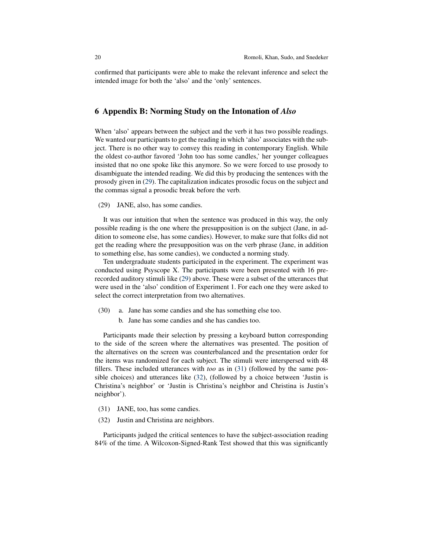confirmed that participants were able to make the relevant inference and select the intended image for both the 'also' and the 'only' sentences.

# 6 Appendix B: Norming Study on the Intonation of *Also*

When 'also' appears between the subject and the verb it has two possible readings. We wanted our participants to get the reading in which 'also' associates with the subject. There is no other way to convey this reading in contemporary English. While the oldest co-author favored 'John too has some candles,' her younger colleagues insisted that no one spoke like this anymore. So we were forced to use prosody to disambiguate the intended reading. We did this by producing the sentences with the prosody given in [\(29\)](#page-19-0). The capitalization indicates prosodic focus on the subject and the commas signal a prosodic break before the verb.

<span id="page-19-0"></span>(29) JANE, also, has some candies.

It was our intuition that when the sentence was produced in this way, the only possible reading is the one where the presupposition is on the subject (Jane, in addition to someone else, has some candies). However, to make sure that folks did not get the reading where the presupposition was on the verb phrase (Jane, in addition to something else, has some candies), we conducted a norming study.

Ten undergraduate students participated in the experiment. The experiment was conducted using Psyscope X. The participants were been presented with 16 prerecorded auditory stimuli like [\(29\)](#page-19-0) above. These were a subset of the utterances that were used in the 'also' condition of Experiment 1. For each one they were asked to select the correct interpretation from two alternatives.

- (30) a. Jane has some candies and she has something else too.
	- b. Jane has some candies and she has candies too.

Participants made their selection by pressing a keyboard button corresponding to the side of the screen where the alternatives was presented. The position of the alternatives on the screen was counterbalanced and the presentation order for the items was randomized for each subject. The stimuli were interspersed with 48 fillers. These included utterances with *too* as in [\(31\)](#page-19-1) (followed by the same possible choices) and utterances like [\(32\)](#page-19-2), (followed by a choice between 'Justin is Christina's neighbor' or 'Justin is Christina's neighbor and Christina is Justin's neighbor').

- <span id="page-19-1"></span>(31) JANE, too, has some candies.
- <span id="page-19-2"></span>(32) Justin and Christina are neighbors.

Participants judged the critical sentences to have the subject-association reading 84% of the time. A Wilcoxon-Signed-Rank Test showed that this was significantly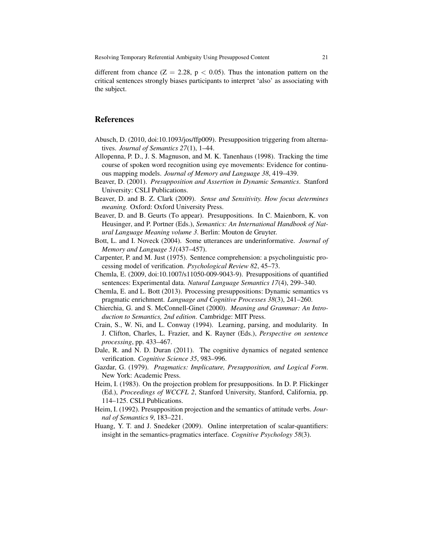different from chance  $(Z = 2.28, p < 0.05)$ . Thus the intonation pattern on the critical sentences strongly biases participants to interpret 'also' as associating with the subject.

# References

- <span id="page-20-11"></span>Abusch, D. (2010, doi:10.1093/jos/ffp009). Presupposition triggering from alternatives. *Journal of Semantics 27*(1), 1–44.
- <span id="page-20-8"></span>Allopenna, P. D., J. S. Magnuson, and M. K. Tanenhaus (1998). Tracking the time course of spoken word recognition using eye movements: Evidence for continuous mapping models. *Journal of Memory and Language 38*, 419–439.
- <span id="page-20-4"></span>Beaver, D. (2001). *Presupposition and Assertion in Dynamic Semantics*. Stanford University: CSLI Publications.
- <span id="page-20-7"></span>Beaver, D. and B. Z. Clark (2009). *Sense and Sensitivity. How focus determines meaning.* Oxford: Oxford University Press.
- <span id="page-20-1"></span>Beaver, D. and B. Geurts (To appear). Presuppositions. In C. Maienborn, K. von Heusinger, and P. Portner (Eds.), *Semantics: An International Handbook of Natural Language Meaning volume 3*. Berlin: Mouton de Gruyter.
- <span id="page-20-5"></span>Bott, L. and I. Noveck (2004). Some utterances are underinformative. *Journal of Memory and Language 51*(437–457).
- <span id="page-20-13"></span>Carpenter, P. and M. Just (1975). Sentence comprehension: a psycholinguistic processing model of verification. *Psychological Review 82*, 45–73.
- Chemla, E. (2009, doi:10.1007/s11050-009-9043-9). Presuppositions of quantified sentences: Experimental data. *Natural Language Semantics 17*(4), 299–340.
- <span id="page-20-9"></span>Chemla, E. and L. Bott (2013). Processing presuppositions: Dynamic semantics vs pragmatic enrichment. *Language and Cognitive Processes 38*(3), 241–260.
- <span id="page-20-0"></span>Chierchia, G. and S. McConnell-Ginet (2000). *Meaning and Grammar: An Introduction to Semantics, 2nd edition*. Cambridge: MIT Press.
- <span id="page-20-12"></span>Crain, S., W. Ni, and L. Conway (1994). Learning, parsing, and modularity. In J. Clifton, Charles, L. Frazier, and K. Rayner (Eds.), *Perspective on sentence processing*, pp. 433–467.
- <span id="page-20-14"></span>Dale, R. and N. D. Duran (2011). The cognitive dynamics of negated sentence verification. *Cognitive Science 35*, 983–996.
- <span id="page-20-2"></span>Gazdar, G. (1979). *Pragmatics: Implicature, Presupposition, and Logical Form*. New York: Academic Press.
- <span id="page-20-3"></span>Heim, I. (1983). On the projection problem for presuppositions. In D. P. Flickinger (Ed.), *Proceedings of WCCFL 2*, Stanford University, Stanford, California, pp. 114–125. CSLI Publications.
- <span id="page-20-10"></span>Heim, I. (1992). Presupposition projection and the semantics of attitude verbs. *Journal of Semantics 9*, 183–221.
- <span id="page-20-6"></span>Huang, Y. T. and J. Snedeker (2009). Online interpretation of scalar-quantifiers: insight in the semantics-pragmatics interface. *Cognitive Psychology 58*(3).